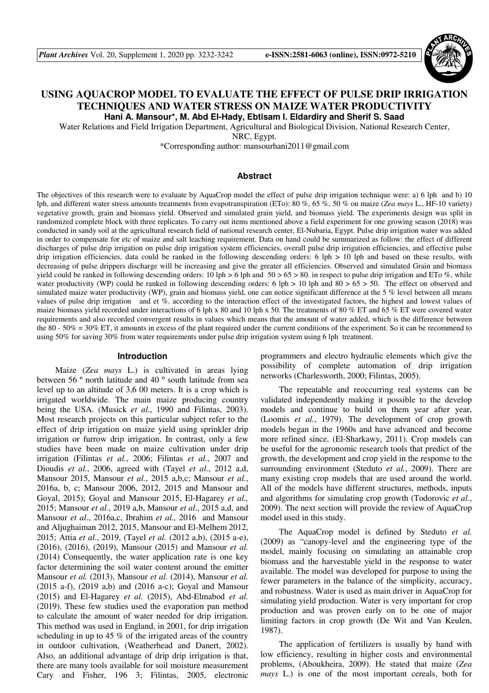

# **USING AQUACROP MODEL TO EVALUATE THE EFFECT OF PULSE DRIP IRRIGATION TECHNIQUES AND WATER STRESS ON MAIZE WATER PRODUCTIVITY Hani A. Mansour\*, M. Abd El-Hady, Ebtisam I. Eldardiry and Sherif S. Saad**

Water Relations and Field Irrigation Department, Agricultural and Biological Division, National Research Center,

NRC, Egypt.

\*Corresponding author: mansourhani2011@gmail.com

## **Abstract**

The objectives of this research were to evaluate by AquaCrop model the effect of pulse drip irrigation technique were: a) 6 lph and b) 10 lph, and different water stress amounts treatments from evapotranspiration (ETo): 80 %, 65 %, 50 % on maize (*Zea mays* L., HF-10 variety) vegetative growth, grain and biomass yield. Observed and simulated grain yield, and biomass yield. The experiments design was split in randomized complete block with three replicates. To carry out items mentioned above a field experiment for one growing season (2018) was conducted in sandy soil at the agricultural research field of national research center, El-Nubaria, Egypt. Pulse drip irrigation water was added in order to compensate for etc of maize and salt leaching requirement. Data on hand could be summarized as follow: the effect of different discharges of pulse drip irrigation on pulse drip irrigation system efficiencies, overall pulse drip irrigation efficiencies, and effective pulse drip irrigation efficiencies, data could be ranked in the following descending orders: 6 lph > 10 lph and based on these results, with decreasing of pulse drippers discharge will be increasing and give the greater all efficiencies. Observed and simulated Grain and biomass yield could be ranked in following descending orders: 10 lph  $> 6$  lph and  $50 > 65 > 80$ . in respect to pulse drip irrigation and ETo %, while water productivity (WP) could be ranked in following descending orders: 6 lph  $> 10$  lph and 80  $> 65 > 50$ . The effect on observed and simulated maize water productivity (WP), grain and biomass yield, one can notice significant difference at the 5 % level between all means values of pulse drip irrigation and et %. according to the interaction effect of the investigated factors, the highest and lowest values of maize biomass yield recorded under interactions of 6 lph x 80 and 10 lph x 50. The treatments of 80 % ET and 65 % ET were covered water requirements and also recorded convergent results in values which means that the amount of water added, which is the difference between the 80 - 50% = 30% ET, it amounts in excess of the plant required under the current conditions of the experiment. So it can be recommend to using 50% for saving 30% from water requirements under pulse drip irrigation system using 6 lph treatment.

### **Introduction**

Maize (*Zea mays* L.) is cultivated in areas lying between 56 º north latitude and 40 º south latitude from sea level up to an altitude of 3,6 00 meters. It is a crop which is irrigated worldwide. The main maize producing country being the USA. (Musick *et al.*, 1990 and Filintas, 2003). Most research projects on this particular subject refer to the effect of drip irrigation on maize yield using sprinkler drip irrigation or furrow drip irrigation. In contrast, only a few studies have been made on maize cultivation under drip irrigation (Filintas *et al.*, 2006; Filintas *et al.*, 2007 and Dioudis *et al.*, 2006, agreed with (Tayel *et al*., 2012 a,d, Mansour 2015, Mansour *et al.*, 2015 a,b,c; Mansour *et al.*, 2016a, b, c; Mansour 2006, 2012, 2015 and Mansour and Goyal, 2015); Goyal and Mansour 2015, El-Hagarey *et al.,* 2015; Mansour *et al*., 2019 a,b, Mansour *et al*., 2015 a,d, and Mansour *et al*., 2016a,c, Ibrahim *et al.,* 2016 and Mansour and Aljughaiman 2012, 2015, Mansour and El-Melhem 2012, 2015; Attia *et al*., 2019, (Tayel *et al.* (2012 a,b), (2015 a-e), (2016), (2016), (2019), Mansour (2015) and Mansour *et al.* (2014) Consequently, the water application rate is one key factor determining the soil water content around the emitter Mansour *et al.* (2013), Mansour *et al.* (2014), Mansour *et al.* (2015 a-f), (2019 a,b) and (2016 a-c); Goyal and Mansour (2015) and El-Hagarey *et al.* (2015), Abd-Elmabod *et al.* (2019). These few studies used the evaporation pan method to calculate the amount of water needed for drip irrigation. This method was used in England, in 2001, for drip irrigation scheduling in up to 45 % of the irrigated areas of the country in outdoor cultivation, (Weatherhead and Danert, 2002). Also, an additional advantage of drip drip irrigation is that, there are many tools available for soil moisture measurement Cary and Fisher, 196 3; Filintas, 2005, electronic

programmers and electro hydraulic elements which give the possibility of complete automation of drip irrigation networks (Charlesworth, 2000; Filintas, 2005).

The repeatable and reoccurring real systems can be validated independently making it possible to the develop models and continue to build on them year after year, (Loomis *et al.*, 1979). The development of crop growth models began in the 1960s and have advanced and become more refined since, (El-Sharkawy, 2011). Crop models can be useful for the agronomic research tools that predict of the growth, the development and crop yield in the response to the surrounding environment (Steduto *et al.*, 2009). There are many existing crop models that are used around the world. All of the models have different structures, methods, inputs and algorithms for simulating crop growth (Todorovic *et al.*, 2009). The next section will provide the review of AquaCrop model used in this study.

The AquaCrop model is defined by Steduto *et al.* (2009) as "canopy-level and the engineering type of the model, mainly focusing on simulating an attainable crop biomass and the harvestable yield in the response to water available. The model was developed for purpose to using the fewer parameters in the balance of the simplicity, accuracy, and robustness. Water is used as main driver in AquaCrop for simulating yield production. Water is very important for crop production and was proven early on to be one of major limiting factors in crop growth (De Wit and Van Keulen, 1987).

The application of fertilizers is usually by hand with low efficiency, resulting in higher costs and environmental problems, (Aboukheira, 2009). He stated that maize (*Zea mays* L.) is one of the most important cereals, both for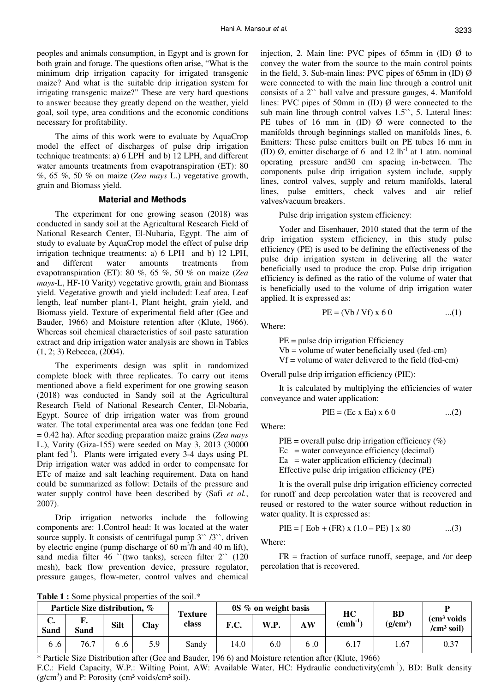peoples and animals consumption, in Egypt and is grown for both grain and forage. The questions often arise, "What is the minimum drip irrigation capacity for irrigated transgenic maize? And what is the suitable drip irrigation system for irrigating transgenic maize?" These are very hard questions to answer because they greatly depend on the weather, yield goal, soil type, area conditions and the economic conditions necessary for profitability.

The aims of this work were to evaluate by AquaCrop model the effect of discharges of pulse drip irrigation technique treatments: a) 6 LPH and b) 12 LPH, and different water amounts treatments from evapotranspiration (ET): 80 %, 65 %, 50 % on maize (*Zea mays* L.) vegetative growth, grain and Biomass yield.

#### **Material and Methods**

The experiment for one growing season (2018) was conducted in sandy soil at the Agricultural Research Field of National Research Center, El-Nubaria, Egypt. The aim of study to evaluate by AquaCrop model the effect of pulse drip irrigation technique treatments: a) 6 LPH and b) 12 LPH, and different water amounts treatments from evapotranspiration (ET): 80 %, 65 %, 50 % on maize (*Zea mays*-L, HF-10 Varity) vegetative growth, grain and Biomass yield. Vegetative growth and yield included: Leaf area, Leaf length, leaf number plant-1, Plant height, grain yield, and Biomass yield. Texture of experimental field after (Gee and Bauder, 1966) and Moisture retention after (Klute, 1966). Whereas soil chemical characteristics of soil paste saturation extract and drip irrigation water analysis are shown in Tables (1, 2; 3) Rebecca, (2004).

The experiments design was split in randomized complete block with three replicates. To carry out items mentioned above a field experiment for one growing season (2018) was conducted in Sandy soil at the Agricultural Research Field of National Research Center, El-Nobaria, Egypt. Source of drip irrigation water was from ground water. The total experimental area was one feddan (one Fed = 0.42 ha). After seeding preparation maize grains (*Zea mays* L.), Varity (Giza-155) were seeded on May 3, 2013 (30000 plant fed-1). Plants were irrigated every 3-4 days using PI. Drip irrigation water was added in order to compensate for ETc of maize and salt leaching requirement. Data on hand could be summarized as follow: Details of the pressure and water supply control have been described by (Safi *et al.*, 2007).

Drip irrigation networks include the following components are: 1.Control head: It was located at the water source supply. It consists of centrifugal pump  $3^{\prime\prime}/3^{\prime\prime}$ , driven by electric engine (pump discharge of  $60 \text{ m}^3$ /h and  $40 \text{ m}$  lift), sand media filter 46  $\degree$ (two tanks), screen filter 2 $\degree$  (120 mesh), back flow prevention device, pressure regulator, pressure gauges, flow-meter, control valves and chemical

injection, 2. Main line: PVC pipes of 65mm in  $(ID)$   $\emptyset$  to convey the water from the source to the main control points in the field, 3. Sub-main lines: PVC pipes of 65mm in  $(ID)$   $\emptyset$ were connected to with the main line through a control unit consists of a 2`` ball valve and pressure gauges, 4. Manifold lines: PVC pipes of 50mm in (ID) Ø were connected to the sub main line through control valves 1.5<sup>oo</sup>, 5. Lateral lines: PE tubes of 16 mm in  $(ID)$   $\emptyset$  were connected to the manifolds through beginnings stalled on manifolds lines, 6. Emitters: These pulse emitters built on PE tubes 16 mm in (ID)  $\emptyset$ , emitter discharge of 6 and 12 lh<sup>-1</sup> at 1 atm. nominal operating pressure and30 cm spacing in-between. The components pulse drip irrigation system include, supply lines, control valves, supply and return manifolds, lateral lines, pulse emitters, check valves and air relief valves/vacuum breakers.

Pulse drip irrigation system efficiency:

Yoder and Eisenhauer, 2010 stated that the term of the drip irrigation system efficiency, in this study pulse efficiency (PE) is used to be defining the effectiveness of the pulse drip irrigation system in delivering all the water beneficially used to produce the crop. Pulse drip irrigation efficiency is defined as the ratio of the volume of water that is beneficially used to the volume of drip irrigation water applied. It is expressed as:

$$
PE = (Vb / Vf) x 60
$$
 ...(1)

Where:

PE = pulse drip irrigation Efficiency

 $Vb$  = volume of water beneficially used (fed-cm)

 $Vf =$  volume of water delivered to the field (fed-cm)

Overall pulse drip irrigation efficiency (PIE):

It is calculated by multiplying the efficiencies of water conveyance and water application:

$$
PIE = (Ec \times Ea) \times 60 \qquad ...(2)
$$

Where:

PIE = overall pulse drip irrigation efficiency  $(\%)$  $Ec = water$  conveyance efficiency (decimal)  $Ea = water$  application efficiency (decimal) Effective pulse drip irrigation efficiency (PE)

It is the overall pulse drip irrigation efficiency corrected for runoff and deep percolation water that is recovered and reused or restored to the water source without reduction in water quality. It is expressed as:

$$
PIE = [Eob + (FR) x (1.0 - PE) ] x 80 \t ... (3)
$$

Where:

 $FR =$  fraction of surface runoff, seepage, and /or deep percolation that is recovered.

**Table 1 :** Some physical properties of the soil.\*

| Particle Size distribution, % |                   |             | <b>Texture</b> | $\theta S$ % on weight basis |      |      | HС | <b>BD</b>           |                      |                                                                |
|-------------------------------|-------------------|-------------|----------------|------------------------------|------|------|----|---------------------|----------------------|----------------------------------------------------------------|
| J.<br>Sand                    | r.<br><b>Sand</b> | <b>Silt</b> | Clay           | class                        | F.C. | W.P. | AW | $(cmh^{\text{-}k})$ | (g/cm <sup>3</sup> ) | $\rm \Gamma$ (cm <sup>3</sup> voids)<br>/cm <sup>3</sup> soil) |
| 6.6                           | 76.7              | 0. d        | 5.9            | Sandy                        | 14.0 | 6.0  |    | 6.17                | 1.67                 | 0.37                                                           |

\* Particle Size Distribution after (Gee and Bauder, 196 6) and Moisture retention after (Klute, 1966) F.C.: Field Capacity, W.P.: Wilting Point, AW: Available Water, HC: Hydraulic conductivity(cmh<sup>-1</sup>), BD: Bulk density  $(g/cm<sup>3</sup>)$  and P: Porosity (cm<sup>3</sup> voids/cm<sup>3</sup> soil).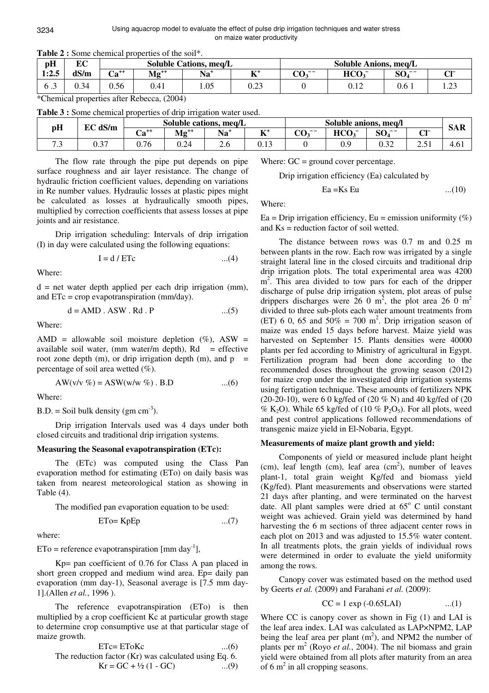| pH                  | EЛ<br>ra C |           |           | <b>Soluble Cations, meg/L</b> |                     | <b>Soluble Anions, meq/L</b>    |                             |                                     |                |  |
|---------------------|------------|-----------|-----------|-------------------------------|---------------------|---------------------------------|-----------------------------|-------------------------------------|----------------|--|
| 1:2.5               | dS/m       | $Ca^{++}$ | $Mg^{++}$ | $Na+$                         | $T \times 4$<br>. . | $\alpha$ --<br>$\cup$ U $\cdot$ | HCO <sub>3</sub>            | $\Omega$ $\Omega$ $\sim$ $-$<br>OV. | $\sim$ 1-      |  |
| $\sigma$ . $\sigma$ | 0.34       | 0.56      | 0.41      | 1.05                          | $\sim$<br>∪.∠J      |                                 | $\Omega$ 1 $\Omega$<br>∪.⊥∠ | 0.6                                 | $\cap$<br>1.LJ |  |

**Table 2 :** Some chemical properties of the soil\*.

\*Chemical properties after Rebecca, (2004)

| Table 3 : Some chemical properties of drip irrigation water used. |  |  |
|-------------------------------------------------------------------|--|--|
|                                                                   |  |  |

| pH  | Soluble cations, meq/L<br>dS/m<br>RΩ |                             |           |       | Soluble anions, meg/l |                 |                  |                  | <b>SAR</b> |                  |
|-----|--------------------------------------|-----------------------------|-----------|-------|-----------------------|-----------------|------------------|------------------|------------|------------------|
|     | ЕU                                   | $\mathbf{a}^{++}$<br>$\sim$ | $Mg^{++}$ | $Na+$ | エアナ<br>--             | $\sim$<br>$- -$ | HCO <sub>3</sub> | SO.<br>$- -$     | $\sim$ 1-  |                  |
| ت ، | $\sim$ $\sim$<br>، ب                 | 0.76                        | ◡ ・∠      | ∠.∪   | U. I J                |                 | U.J              | $\Omega$<br>∪.J∠ | ້⊷ປ⊥       | 4.0 <sub>1</sub> |

The flow rate through the pipe put depends on pipe surface roughness and air layer resistance. The change of hydraulic friction coefficient values, depending on variations in Re number values. Hydraulic losses at plastic pipes might be calculated as losses at hydraulically smooth pipes, multiplied by correction coefficients that assess losses at pipe joints and air resistance.

Drip irrigation scheduling: Intervals of drip irrigation (I) in day were calculated using the following equations:

$$
I = d / ETc \qquad ...(4)
$$

Where:

 $d =$  net water depth applied per each drip irrigation (mm), and ETc = crop evapotranspiration (mm/day).

$$
d = AMD . ASW . Rd . P \qquad ...(5)
$$

Where:

AMD = allowable soil moisture depletion  $(\%)$ , ASW = available soil water, (mm water/m depth),  $Rd =$  effective root zone depth (m), or drip irrigation depth (m), and  $p =$ percentage of soil area wetted (%).

$$
AW(v/v \%) = ASW(w/w \%)
$$
. B.D ...(6)

Where:

 $B.D. = Soil bulk density (gm cm<sup>-3</sup>).$ 

Drip irrigation Intervals used was 4 days under both closed circuits and traditional drip irrigation systems.

### **Measuring the Seasonal evapotranspiration (ETc):**

The (ETc) was computed using the Class Pan evaporation method for estimating (ETo) on daily basis was taken from nearest meteorological station as showing in Table (4).

The modified pan evaporation equation to be used:

$$
ETo = KpEp
$$
...(7)

where:

 $ETo = reference evaporation [mm day<sup>-1</sup>],$ 

Kp= pan coefficient of 0.76 for Class A pan placed in short green cropped and medium wind area. Ep= daily pan evaporation (mm day-1), Seasonal average is [7.5 mm day-1].(Allen *et al.*, 1996 ).

The reference evapotranspiration (ETo) is then multiplied by a crop coefficient Kc at particular growth stage to determine crop consumptive use at that particular stage of maize growth.

ETc= EToKc ... (6)  
The reduction factor (Kr) was calculated using Eq. 6.  

$$
Kr = GC + \frac{1}{2}(1 - GC)
$$
 ... (9)

Where:  $GC =$  ground cover percentage.

Drip irrigation efficiency (Ea) calculated by

$$
Ea = Ks Eu
$$
...(10)

Where:

Ea = Drip irrigation efficiency, Eu = emission uniformity  $(\%)$ and Ks = reduction factor of soil wetted.

The distance between rows was 0.7 m and 0.25 m between plants in the row. Each row was irrigated by a single straight lateral line in the closed circuits and traditional drip drip irrigation plots. The total experimental area was 4200 m<sup>2</sup>. This area divided to tow pars for each of the dripper discharge of pulse drip irrigation system, plot areas of pulse drippers discharges were 26 0 m<sup>2</sup>, the plot area 26 0 m<sup>2</sup> divided to three sub-plots each water amount treatments from (ET) 6 0, 65 and  $50\% = 700$  m<sup>2</sup>. Drip irrigation season of maize was ended 15 days before harvest. Maize yield was harvested on September 15. Plants densities were 40000 plants per fed according to Ministry of agricultural in Egypt. Fertilization program had been done according to the recommended doses throughout the growing season (2012) for maize crop under the investigated drip irrigation systems using fertigation technique. These amounts of fertilizers NPK (20-20-10), were 6 0 kg/fed of (20 % N) and 40 kg/fed of (20 % K<sub>2</sub>O). While 65 kg/fed of (10 % P<sub>2</sub>O<sub>5</sub>). For all plots, weed and pest control applications followed recommendations of transgenic maize yield in El-Nobaria, Egypt.

#### **Measurements of maize plant growth and yield:**

Components of yield or measured include plant height  $(cm)$ , leaf length  $(cm)$ , leaf area  $(cm^2)$ , number of leaves plant-1, total grain weight Kg/fed and biomass yield (Kg/fed). Plant measurements and observations were started 21 days after planting, and were terminated on the harvest date. All plant samples were dried at  $65^{\circ}$  C until constant weight was achieved. Grain yield was determined by hand harvesting the 6 m sections of three adjacent center rows in each plot on 2013 and was adjusted to 15.5% water content. In all treatments plots, the grain yields of individual rows were determined in order to evaluate the yield uniformity among the rows.

Canopy cover was estimated based on the method used by Geerts *et al.* (2009) and Farahani *et al.* (2009):

$$
CC = 1 \exp(-0.65LAI) \quad ...(1)
$$

Where CC is canopy cover as shown in Fig (1) and LAI is the leaf area index. LAI was calculated as LAP×NPM2, LAP being the leaf area per plant  $(m<sup>2</sup>)$ , and NPM2 the number of plants per  $m^2$  (Royo *et al.*, 2004). The nil biomass and grain yield were obtained from all plots after maturity from an area of 6  $m^2$  in all cropping seasons.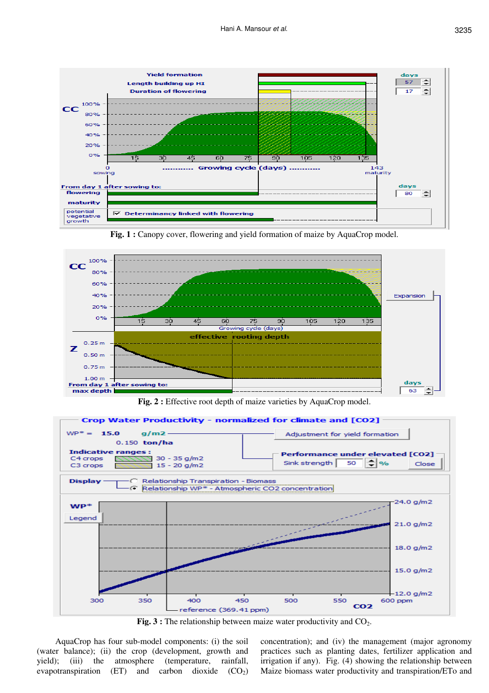





Fig. 2 : Effective root depth of maize varieties by AquaCrop model.



Fig. 3 : The relationship between maize water productivity and CO<sub>2</sub>.

AquaCrop has four sub-model components: (i) the soil (water balance); (ii) the crop (development, growth and yield); (iii) the atmosphere (temperature, rainfall, evapotranspiration (ET) and carbon dioxide  $(CO_2)$  concentration); and (iv) the management (major agronomy practices such as planting dates, fertilizer application and irrigation if any). Fig. (4) showing the relationship between Maize biomass water productivity and transpiration/ETo and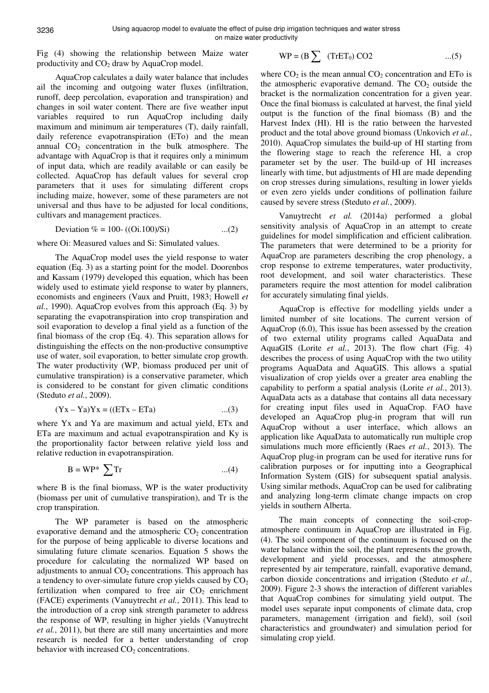Fig (4) showing the relationship between Maize water productivity and  $CO<sub>2</sub>$  draw by AquaCrop model.

AquaCrop calculates a daily water balance that includes ail the incoming and outgoing water fluxes (infiltration, runoff, deep percolation, evaporation and transpiration) and changes in soil water content. There are five weather input variables required to run AquaCrop including daily maximum and minimum air temperatures (T), daily rainfall, daily reference evapotranspiration (ETo) and the mean annual  $CO<sub>2</sub>$  concentration in the bulk atmosphere. The advantage with AquaCrop is that it requires only a minimum of input data, which are readily available or can easily be collected. AquaCrop has default values for several crop parameters that it uses for simulating different crops including maize, however, some of these parameters are not universal and thus have to be adjusted for local conditions, cultivars and management practices.

Deviation  $\% = 100 - ((0i.100)/Si)$  ...(2)

where Oi: Measured values and Si: Simulated values.

The AquaCrop model uses the yield response to water equation (Eq. 3) as a starting point for the model. Doorenbos and Kassam (1979) developed this equation, which has been widely used to estimate yield response to water by planners, economists and engineers (Vaux and Pruitt, 1983; Howell *et al.*, 1990). AquaCrop evolves from this approach (Eq. 3) by separating the evapotranspiration into crop transpiration and soil evaporation to develop a final yield as a function of the final biomass of the crop (Eq. 4). This separation allows for distinguishing the effects on the non-productive consumptive use of water, soil evaporation, to better simulate crop growth. The water productivity (WP, biomass produced per unit of cumulative transpiration) is a conservative parameter, which is considered to be constant for given climatic conditions (Steduto *et al.*, 2009).

$$
(Yx - Ya)Yx = ((ETx - ETa) \qquad \dots (3)
$$

where Yx and Ya are maximum and actual yield, ETx and ETa are maximum and actual evapotranspiration and Ky is the proportionality factor between relative yield loss and relative reduction in evapotranspiration.

$$
B = WP^* \sum Tr
$$
...(4)

where B is the final biomass, WP is the water productivity (biomass per unit of cumulative transpiration), and Tr is the crop transpiration.

The WP parameter is based on the atmospheric evaporative demand and the atmospheric  $CO<sub>2</sub>$  concentration for the purpose of being applicable to diverse locations and simulating future climate scenarios. Equation 5 shows the procedure for calculating the normalized WP based on adjustments to annual  $CO<sub>2</sub>$  concentrations. This approach has a tendency to over-simulate future crop yields caused by  $CO<sub>2</sub>$ fertilization when compared to free air  $CO<sub>2</sub>$  enrichment (FACE) experiments (Vanuytrecht *et al.*, 2011). This lead to the introduction of a crop sink strength parameter to address the response of WP, resulting in higher yields (Vanuytrecht *et al.*, 2011), but there are still many uncertainties and more research is needed for a better understanding of crop behavior with increased  $CO<sub>2</sub>$  concentrations.

$$
WP = (B \sum (TrET_0) CO2 \qquad \qquad \dots (5)
$$

where  $CO<sub>2</sub>$  is the mean annual  $CO<sub>2</sub>$  concentration and ETo is the atmospheric evaporative demand. The  $CO<sub>2</sub>$  outside the bracket is the normalization concentration for a given year. Once the final biomass is calculated at harvest, the final yield output is the function of the final biomass (B) and the Harvest Index (HI). HI is the ratio between the harvested product and the total above ground biomass (Unkovich *et al.*, 2010). AquaCrop simulates the build-up of HI starting from the flowering stage to reach the reference HI, a crop parameter set by the user. The build-up of HI increases linearly with time, but adjustments of HI are made depending on crop stresses during simulations, resulting in lower yields or even zero yields under conditions of pollination failure caused by severe stress (Steduto *et al.*, 2009).

Vanuytrecht *et al.* (2014a) performed a global sensitivity analysis of AquaCrop in an attempt to create guidelines for model simplification and efficient calibration. The parameters that were determined to be a priority for AquaCrop are parameters describing the crop phenology, a crop response to extreme temperatures, water productivity, root development, and soil water characteristics. These parameters require the most attention for model calibration for accurately simulating final yields.

AquaCrop is effective for modelling yields under a limited number of site locations. The current version of AquaCrop (6.0), This issue has been assessed by the creation of two external utility programs called AquaData and AquaGIS (Lorite *et al.*, 2013). The flow chart (Fig. 4) describes the process of using AquaCrop with the two utility programs AquaData and AquaGIS. This allows a spatial visualization of crop yields over a greater area enabling the capability to perform a spatial analysis (Lorite *et al.*, 2013). AquaData acts as a database that contains all data necessary for creating input files used in AquaCrop. FAO have developed an AquaCrop plug-in program that will run AquaCrop without a user interface, which allows an application like AquaData to automatically run multiple crop simulations much more efficiently (Raes *et al.*, 2013). The AquaCrop plug-in program can be used for iterative runs for calibration purposes or for inputting into a Geographical Information System (GIS) for subsequent spatial analysis. Using similar methods, AquaCrop can be used for calibrating and analyzing long-term climate change impacts on crop yields in southern Alberta.

The main concepts of connecting the soil-cropatmosphere continuum in AquaCrop are illustrated in Fig. (4). The soil component of the continuum is focused on the water balance within the soil, the plant represents the growth, development and yield processes, and the atmosphere represented by air temperature, rainfall, evaporative demand, carbon dioxide concentrations and irrigation (Steduto *et al.*, 2009). Figure 2-3 shows the interaction of different variables that AquaCrop combines for simulating yield output. The model uses separate input components of climate data, crop parameters, management (irrigation and field), soil (soil characteristics and groundwater) and simulation period for simulating crop yield.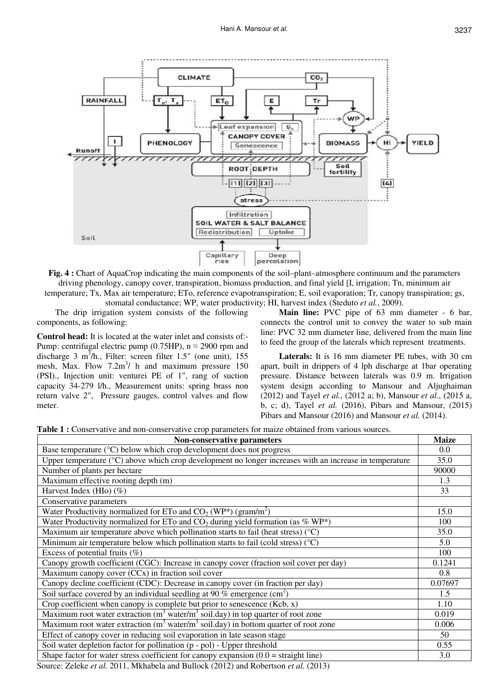

**Fig. 4 :** Chart of AquaCrop indicating the main components of the soil–plant–atmosphere continuum and the parameters driving phenology, canopy cover, transpiration, biomass production, and final yield [I, irrigation; Tn, minimum air temperature; Tx, Max air temperature; ETo, reference evapotranspiration; E, soil evaporation; Tr, canopy transpiration; gs, stomatal conductance; WP, water productivity; HI, harvest index (Steduto *et al.*, 2009).

The drip irrigation system consists of the following components, as following:

**Control head:** It is located at the water inlet and consists of:- Pump: centrifugal electric pump (0.75HP),  $n \approx 2900$  rpm and discharge 3 m<sup>3</sup>/h., Filter: screen filter 1.5" (one unit), 155 mesh, Max. Flow  $7.2m<sup>3</sup>$  h and maximum pressure 150 (PSI)., Injection unit: venturei PE of 1", rang of suction capacity 34-279 l/h., Measurement units: spring brass non return valve 2", Pressure gauges, control valves and flow meter.

**Main line:** PVC pipe of 63 mm diameter - 6 bar, connects the control unit to convey the water to sub main line: PVC 32 mm diameter line, delivered from the main line to feed the group of the laterals which represent treatments.

**Laterals:** It is 16 mm diameter PE tubes, with 30 cm apart, built in drippers of 4 lph discharge at 1bar operating pressure. Distance between laterals was 0.9 m. Irrigation system design according to Mansour and Aljughaiman (2012) and Tayel *et al.*, (2012 a; b), Mansour *et al*., (2015 a, b, c; d), Tayel *et al.* (2016), Pibars and Mansour, (2015) Pibars and Mansour (2016) and Mansour *et al.* (2014).

**Table 1 :** Conservative and non-conservative crop parameters for maize obtained from various sources.

| Non-conservative parameters                                                                                      | <b>Maize</b> |  |  |  |  |  |
|------------------------------------------------------------------------------------------------------------------|--------------|--|--|--|--|--|
| Base temperature $(^{\circ}C)$ below which crop development does not progress                                    | $0.0\,$      |  |  |  |  |  |
| Upper temperature $(^{\circ}C)$ above which crop development no longer increases with an increase in temperature |              |  |  |  |  |  |
| Number of plants per hectare                                                                                     | 90000        |  |  |  |  |  |
| Maximum effective rooting depth (m)                                                                              | 1.3          |  |  |  |  |  |
| Harvest Index (HIo) $(\%)$                                                                                       | 33           |  |  |  |  |  |
| Conservative parameters                                                                                          |              |  |  |  |  |  |
| Water Productivity normalized for ETo and $CO_2$ (WP <sup>*</sup> ) (gram/m <sup>2</sup> )                       | 15.0         |  |  |  |  |  |
| Water Productivity normalized for ETo and $CO2$ during yield formation (as % WP*)                                | 100          |  |  |  |  |  |
| Maximum air temperature above which pollination starts to fail (heat stress) $(°C)$                              | 35.0         |  |  |  |  |  |
| Minimum air temperature below which pollination starts to fail (cold stress) $(°C)$                              | 5.0          |  |  |  |  |  |
| Excess of potential fruits $(\%)$                                                                                | 100          |  |  |  |  |  |
| Canopy growth coefficient (CGC): Increase in canopy cover (fraction soil cover per day)                          | 0.1241       |  |  |  |  |  |
| Maximum canopy cover (CCx) in fraction soil cover                                                                | 0.8          |  |  |  |  |  |
| Canopy decline coefficient (CDC): Decrease in canopy cover (in fraction per day)                                 | 0.07697      |  |  |  |  |  |
| Soil surface covered by an individual seedling at 90 % emergence $(cm2)$                                         | 1.5          |  |  |  |  |  |
| Crop coefficient when canopy is complete but prior to senescence $(Kcb, x)$                                      | 1.10         |  |  |  |  |  |
| Maximum root water extraction $(m^3 \text{ water/m}^3 \text{ soil.} \text{day})$ in top quarter of root zone     | 0.019        |  |  |  |  |  |
| Maximum root water extraction ( $m3$ water/ $m3$ soil.day) in bottom quarter of root zone                        | 0.006        |  |  |  |  |  |
| Effect of canopy cover in reducing soil evaporation in late season stage                                         | 50           |  |  |  |  |  |
| Soil water depletion factor for pollination (p - pol) - Upper threshold                                          | 0.55         |  |  |  |  |  |
| Shape factor for water stress coefficient for canopy expansion $(0.0 = \text{straight line})$                    | 3.0          |  |  |  |  |  |

Source: Zeleke *et al.* 2011, Mkhabela and Bullock (2012) and Robertson *et al.* (2013)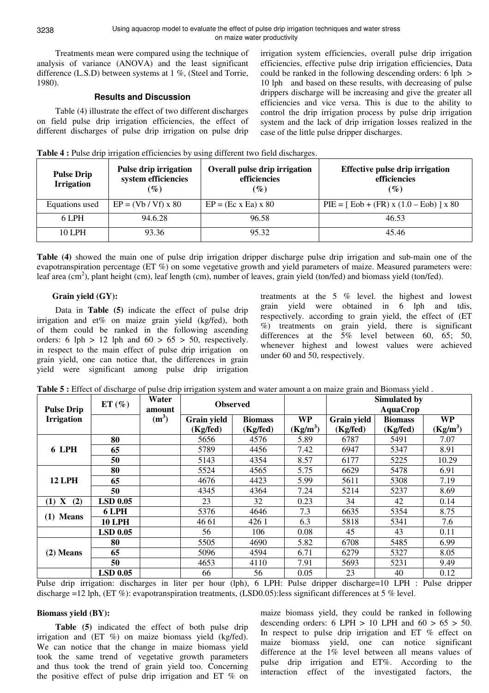3238

Treatments mean were compared using the technique of analysis of variance (ANOVA) and the least significant difference (L.S.D) between systems at 1 %, (Steel and Torrie, 1980).

# **Results and Discussion**

Table (4) illustrate the effect of two different discharges on field pulse drip irrigation efficiencies, the effect of different discharges of pulse drip irrigation on pulse drip irrigation system efficiencies, overall pulse drip irrigation efficiencies, effective pulse drip irrigation efficiencies, Data could be ranked in the following descending orders: 6 lph > 10 lph and based on these results, with decreasing of pulse drippers discharge will be increasing and give the greater all efficiencies and vice versa. This is due to the ability to control the drip irrigation process by pulse drip irrigation system and the lack of drip irrigation losses realized in the case of the little pulse dripper discharges.

| Table 4 : Pulse drip irrigation efficiencies by using different two field discharges. |  |  |  |  |
|---------------------------------------------------------------------------------------|--|--|--|--|
|                                                                                       |  |  |  |  |

| <b>Pulse Drip</b><br><b>Irrigation</b> | Pulse drip irrigation<br>system efficiencies<br>$(\%)$ | <b>Overall pulse drip irrigation</b><br>efficiencies<br>$(\%)$ | <b>Effective pulse drip irrigation</b><br>efficiencies<br>$\mathcal{G}_0$ |  |  |
|----------------------------------------|--------------------------------------------------------|----------------------------------------------------------------|---------------------------------------------------------------------------|--|--|
| Equations used                         | $EP = (Vb / Vf) \times 80$                             | $EP = (Ec \times Ea) \times 80$                                | $PIE = [Eob + (FR) x (1.0 - Eob)] x 80$                                   |  |  |
| 6 LPH                                  | 94.6.28                                                | 96.58                                                          | 46.53                                                                     |  |  |
| <b>10 LPH</b>                          | 93.36                                                  | 95.32                                                          | 45.46                                                                     |  |  |

**Table (4)** showed the main one of pulse drip irrigation dripper discharge pulse drip irrigation and sub-main one of the evapotranspiration percentage (ET %) on some vegetative growth and yield parameters of maize. Measured parameters were: leaf area (cm<sup>2</sup>), plant height (cm), leaf length (cm), number of leaves, grain yield (ton/fed) and biomass yield (ton/fed).

# **Grain yield (GY):**

Data in **Table (5)** indicate the effect of pulse drip irrigation and et% on maize grain yield (kg/fed), both of them could be ranked in the following ascending orders: 6 lph  $> 12$  lph and  $60 > 65 > 50$ , respectively. in respect to the main effect of pulse drip irrigation on grain yield, one can notice that, the differences in grain yield were significant among pulse drip irrigation treatments at the 5 % level. the highest and lowest grain yield were obtained in 6 lph and tdis, respectively. according to grain yield, the effect of (ET %) treatments on grain yield, there is significant differences at the 5% level between 60, 65; 50, whenever highest and lowest values were achieved under 60 and 50, respectively.

| Table 5 : Effect of discharge of pulse drip irrigation system and water amount a on maize grain and Biomass yield. |  |
|--------------------------------------------------------------------------------------------------------------------|--|
|--------------------------------------------------------------------------------------------------------------------|--|

| <b>Pulse Drip</b> | $ET(\%)$        | Water<br>amount   |             | <b>Observed</b> |                      | <b>Simulated by</b><br><b>AquaCrop</b> |                |            |  |
|-------------------|-----------------|-------------------|-------------|-----------------|----------------------|----------------------------------------|----------------|------------|--|
| <b>Irrigation</b> |                 | (m <sup>3</sup> ) | Grain yield | <b>Biomass</b>  | <b>WP</b>            | Grain yield                            | <b>Biomass</b> | <b>WP</b>  |  |
|                   |                 |                   | (Kg/fed)    | (Kg/fed)        | (Kg/m <sup>3</sup> ) | (Kg/fed)                               | (Kg/fed)       | $(Kg/m^3)$ |  |
|                   | 80              |                   | 5656        | 4576            | 5.89                 | 6787                                   | 5491           | 7.07       |  |
| 6 LPH             | 65              |                   | 5789        | 4456            | 7.42                 | 6947                                   | 5347           | 8.91       |  |
|                   | 50              |                   | 5143        | 4354            | 8.57                 | 6177                                   | 5225           | 10.29      |  |
|                   | 80              |                   | 5524        | 4565            | 5.75                 | 6629                                   | 5478           | 6.91       |  |
| <b>12 LPH</b>     | 65              |                   | 4676        | 4423            | 5.99                 | 5611                                   | 5308           | 7.19       |  |
|                   | 50              |                   | 4345        | 4364            | 7.24                 | 5214                                   | 5237           | 8.69       |  |
| $(1)$ X<br>(2)    | <b>LSD 0.05</b> |                   | 23          | 32              | 0.23                 | 34                                     | 42             | 0.14       |  |
| $(1)$ Means       | 6 LPH           |                   | 5376        | 4646            | 7.3                  | 6635                                   | 5354           | 8.75       |  |
|                   | <b>10 LPH</b>   |                   | 46 61       | 426 1           | 6.3                  | 5818                                   | 5341           | 7.6        |  |
|                   | <b>LSD 0.05</b> |                   | 56          | 106             | 0.08                 | 45                                     | 43             | 0.11       |  |
|                   | 80              |                   | 5505        | 4690            | 5.82                 | 6708                                   | 5485           | 6.99       |  |
| $(2)$ Means       | 65              |                   | 5096        | 4594            | 6.71                 | 6279                                   | 5327           | 8.05       |  |
|                   | 50              |                   | 4653        | 4110            | 7.91                 | 5693                                   | 5231           | 9.49       |  |
|                   | <b>LSD 0.05</b> |                   | 66          | 56              | 0.05                 | 23                                     | 40             | 0.12       |  |

Pulse drip irrigation: discharges in liter per hour (lph), 6 LPH: Pulse dripper discharge=10 LPH : Pulse dripper discharge =12 lph, (ET %): evapotranspiration treatments, (LSD0.05):less significant differences at 5 % level.

# **Biomass yield (BY):**

**Table (5)** indicated the effect of both pulse drip irrigation and (ET %) on maize biomass yield (kg/fed). We can notice that the change in maize biomass yield took the same trend of vegetative growth parameters and thus took the trend of grain yield too. Concerning the positive effect of pulse drip irrigation and ET % on

maize biomass yield, they could be ranked in following descending orders: 6 LPH  $> 10$  LPH and  $60 > 65 > 50$ . In respect to pulse drip irrigation and ET % effect on maize biomass yield, one can notice significant difference at the 1% level between all means values of pulse drip irrigation and ET%. According to the interaction effect of the investigated factors, the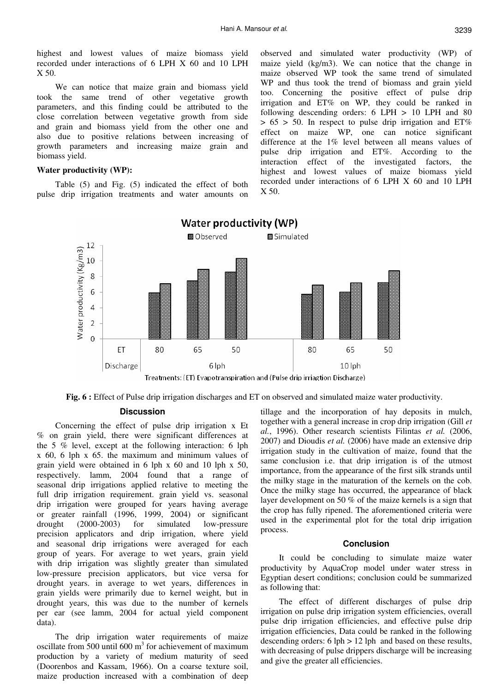highest and lowest values of maize biomass yield recorded under interactions of 6 LPH X 60 and 10 LPH X 50.

We can notice that maize grain and biomass yield took the same trend of other vegetative growth parameters, and this finding could be attributed to the close correlation between vegetative growth from side and grain and biomass yield from the other one and also due to positive relations between increasing of growth parameters and increasing maize grain and biomass yield.

#### **Water productivity (WP):**

Table (5) and Fig. (5) indicated the effect of both pulse drip irrigation treatments and water amounts on observed and simulated water productivity (WP) of maize yield (kg/m3). We can notice that the change in maize observed WP took the same trend of simulated WP and thus took the trend of biomass and grain yield too. Concerning the positive effect of pulse drip irrigation and ET% on WP, they could be ranked in following descending orders:  $6$  LPH  $> 10$  LPH and  $80$  $> 65 > 50$ . In respect to pulse drip irrigation and  $ET\%$ effect on maize WP, one can notice significant difference at the 1% level between all means values of pulse drip irrigation and ET%. According to the interaction effect of the investigated factors, the highest and lowest values of maize biomass yield recorded under interactions of 6 LPH X 60 and 10 LPH  $X$  50.



**Fig. 6 :** Effect of Pulse drip irrigation discharges and ET on observed and simulated maize water productivity.

## **Discussion**

Concerning the effect of pulse drip irrigation x Et % on grain yield, there were significant differences at the 5 % level, except at the following interaction: 6 lph x 60, 6 lph x 65. the maximum and minimum values of grain yield were obtained in 6 lph x 60 and 10 lph x 50, respectively. lamm, 2004 found that a range of seasonal drip irrigations applied relative to meeting the full drip irrigation requirement. grain yield vs. seasonal drip irrigation were grouped for years having average or greater rainfall (1996, 1999, 2004) or significant drought (2000-2003) for simulated low-pressure precision applicators and drip irrigation, where yield and seasonal drip irrigations were averaged for each group of years. For average to wet years, grain yield with drip irrigation was slightly greater than simulated low-pressure precision applicators, but vice versa for drought years. in average to wet years, differences in grain yields were primarily due to kernel weight, but in drought years, this was due to the number of kernels per ear (see lamm, 2004 for actual yield component data).

The drip irrigation water requirements of maize oscillate from 500 until  $600 \text{ m}^3$  for achievement of maximum production by a variety of medium maturity of seed (Doorenbos and Kassam, 1966). On a coarse texture soil, maize production increased with a combination of deep

tillage and the incorporation of hay deposits in mulch, together with a general increase in crop drip irrigation (Gill *et al.*, 1996). Other research scientists Filintas *et al.* (2006, 2007) and Dioudis *et al.* (2006) have made an extensive drip irrigation study in the cultivation of maize, found that the same conclusion i.e. that drip irrigation is of the utmost importance, from the appearance of the first silk strands until the milky stage in the maturation of the kernels on the cob. Once the milky stage has occurred, the appearance of black layer development on 50 % of the maize kernels is a sign that the crop has fully ripened. The aforementioned criteria were used in the experimental plot for the total drip irrigation process.

### **Conclusion**

It could be concluding to simulate maize water productivity by AquaCrop model under water stress in Egyptian desert conditions; conclusion could be summarized as following that:

The effect of different discharges of pulse drip irrigation on pulse drip irrigation system efficiencies, overall pulse drip irrigation efficiencies, and effective pulse drip irrigation efficiencies, Data could be ranked in the following descending orders: 6 lph > 12 lph and based on these results, with decreasing of pulse drippers discharge will be increasing and give the greater all efficiencies.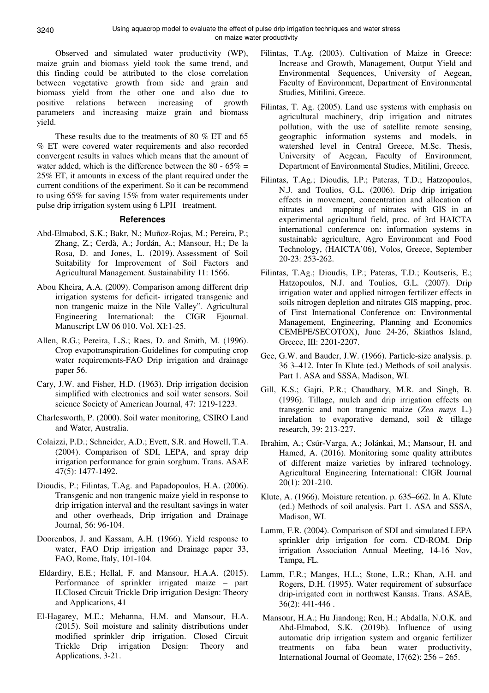Observed and simulated water productivity (WP), maize grain and biomass yield took the same trend, and this finding could be attributed to the close correlation between vegetative growth from side and grain and biomass yield from the other one and also due to positive relations between increasing of growth parameters and increasing maize grain and biomass yield.

These results due to the treatments of 80 % ET and 65 % ET were covered water requirements and also recorded convergent results in values which means that the amount of water added, which is the difference between the 80 -  $65\%$  = 25% ET, it amounts in excess of the plant required under the current conditions of the experiment. So it can be recommend to using 65% for saving 15% from water requirements under pulse drip irrigation system using 6 LPH treatment.

## **References**

- Abd-Elmabod, S.K.; Bakr, N.; Muñoz-Rojas, M.; Pereira, P.; Zhang, Z.; Cerdà, A.; Jordán, A.; Mansour, H.; De la Rosa, D. and Jones, L. (2019). Assessment of Soil Suitability for Improvement of Soil Factors and Agricultural Management. Sustainability 11: 1566.
- Abou Kheira, A.A. (2009). Comparison among different drip irrigation systems for deficit- irrigated transgenic and non trangenic maize in the Nile Valley". Agricultural Engineering International: the CIGR Ejournal. Manuscript LW 06 010. Vol. XI:1-25.
- Allen, R.G.; Pereira, L.S.; Raes, D. and Smith, M. (1996). Crop evapotranspiration-Guidelines for computing crop water requirements-FAO Drip irrigation and drainage paper 56.
- Cary, J.W. and Fisher, H.D. (1963). Drip irrigation decision simplified with electronics and soil water sensors. Soil science Society of American Journal, 47: 1219-1223.
- Charlesworth, P. (2000). Soil water monitoring, CSIRO Land and Water, Australia.
- Colaizzi, P.D.; Schneider, A.D.; Evett, S.R. and Howell, T.A. (2004). Comparison of SDI, LEPA, and spray drip irrigation performance for grain sorghum. Trans. ASAE 47(5): 1477-1492.
- Dioudis, P.; Filintas, T.Ag. and Papadopoulos, H.A. (2006). Transgenic and non trangenic maize yield in response to drip irrigation interval and the resultant savings in water and other overheads, Drip irrigation and Drainage Journal, 56: 96-104.
- Doorenbos, J. and Kassam, A.H. (1966). Yield response to water, FAO Drip irrigation and Drainage paper 33, FAO, Rome, Italy, 101-104.
- Eldardiry, E.E.; Hellal, F. and Mansour, H.A.A. (2015). Performance of sprinkler irrigated maize – part II.Closed Circuit Trickle Drip irrigation Design: Theory and Applications, 41
- El-Hagarey, M.E.; Mehanna, H.M. and Mansour, H.A. (2015). Soil moisture and salinity distributions under modified sprinkler drip irrigation. Closed Circuit Trickle Drip irrigation Design: Theory and Applications, 3-21.
- Filintas, T.Ag. (2003). Cultivation of Maize in Greece: Increase and Growth, Management, Output Yield and Environmental Sequences, University of Aegean, Faculty of Environment, Department of Environmental Studies, Mitilini, Greece.
- Filintas, T. Ag. (2005). Land use systems with emphasis on agricultural machinery, drip irrigation and nitrates pollution, with the use of satellite remote sensing, geographic information systems and models, in watershed level in Central Greece, M.Sc. Thesis, University of Aegean, Faculty of Environment, Department of Environmental Studies, Mitilini, Greece.
- Filintas, T.Ag.; Dioudis, I.P.; Pateras, T.D.; Hatzopoulos, N.J. and Toulios, G.L. (2006). Drip drip irrigation effects in movement, concentration and allocation of nitrates and mapping of nitrates with GIS in an experimental agricultural field, proc. of 3rd HAICTA international conference on: information systems in sustainable agriculture, Agro Environment and Food Technology, (HAICTA'06), Volos, Greece, September 20-23: 253-262.
- Filintas, T.Ag.; Dioudis, I.P.; Pateras, T.D.; Koutseris, E.; Hatzopoulos, N.J. and Toulios, G.L. (2007). Drip irrigation water and applied nitrogen fertilizer effects in soils nitrogen depletion and nitrates GIS mapping, proc. of First International Conference on: Environmental Management, Engineering, Planning and Economics CEMEPE/SECOTOX), June 24-26, Skiathos Island, Greece, III: 2201-2207.
- Gee, G.W. and Bauder, J.W. (1966). Particle-size analysis. p. 36 3–412. Inter In Klute (ed.) Methods of soil analysis. Part 1. ASA and SSSA, Madison, WI.
- Gill, K.S.; Gajri, P.R.; Chaudhary, M.R. and Singh, B. (1996). Tillage, mulch and drip irrigation effects on transgenic and non trangenic maize (*Zea mays* L.) inrelation to evaporative demand, soil & tillage research, 39: 213-227.
- Ibrahim, A.; Csúr-Varga, A.; Jolánkai, M.; Mansour, H. and Hamed, A. (2016). Monitoring some quality attributes of different maize varieties by infrared technology. Agricultural Engineering International: CIGR Journal 20(1): 201-210.
- Klute, A. (1966). Moisture retention. p. 635–662. In A. Klute (ed.) Methods of soil analysis. Part 1. ASA and SSSA, Madison, WI.
- Lamm, F.R. (2004). Comparison of SDI and simulated LEPA sprinkler drip irrigation for corn. CD-ROM. Drip irrigation Association Annual Meeting, 14-16 Nov, Tampa, FL.
- Lamm, F.R.; Manges, H.L.; Stone, L.R.; Khan, A.H. and Rogers, D.H. (1995). Water requirement of subsurface drip-irrigated corn in northwest Kansas. Trans. ASAE, 36(2): 441-446 .
- Mansour, H.A.; Hu Jiandong; Ren, H.; Abdalla, N.O.K. and Abd-Elmabod, S.K. (2019b). Influence of using automatic drip irrigation system and organic fertilizer treatments on faba bean water productivity, International Journal of Geomate, 17(62): 256 – 265.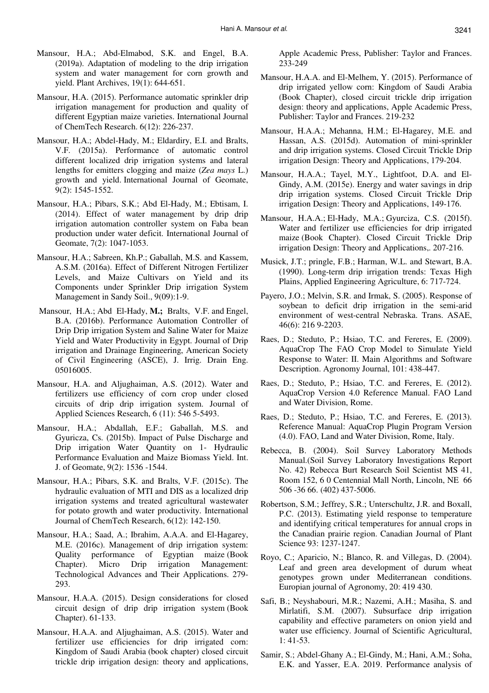- Mansour, H.A.; Abd-Elmabod, S.K. and Engel, B.A. (2019a). Adaptation of modeling to the drip irrigation system and water management for corn growth and yield. Plant Archives, 19(1): 644-651.
- Mansour, H.A. (2015). Performance automatic sprinkler drip irrigation management for production and quality of different Egyptian maize varieties. International Journal of ChemTech Research. 6(12): 226-237.
- Mansour, H.A.; Abdel-Hady, M.; Eldardiry, E.I. and Bralts, V.F. (2015a). Performance of automatic control different localized drip irrigation systems and lateral lengths for emitters clogging and maize (*Zea mays* L.) growth and yield. International Journal of Geomate, 9(2): 1545-1552.
- Mansour, H.A.; Pibars, S.K.; Abd El-Hady, M.; Ebtisam, I. (2014). Effect of water management by drip drip irrigation automation controller system on Faba bean production under water deficit. International Journal of Geomate, 7(2): 1047-1053.
- Mansour, H.A.; Sabreen, Kh.P.; Gaballah, M.S. and Kassem, A.S.M. (2016a). Effect of Different Nitrogen Fertilizer Levels, and Maize Cultivars on Yield and its Components under Sprinkler Drip irrigation System Management in Sandy Soil., 9(09):1-9.
- Mansour, H.A.; Abd El-Hady, **M.;** Bralts, V.F. and Engel, B.A. (2016b). Performance Automation Controller of Drip Drip irrigation System and Saline Water for Maize Yield and Water Productivity in Egypt. Journal of Drip irrigation and Drainage Engineering, American Society of Civil Engineering (ASCE), J. Irrig. Drain Eng. 05016005.
- Mansour, H.A. and Aljughaiman, A.S. (2012). Water and fertilizers use efficiency of corn crop under closed circuits of drip drip irrigation system. Journal of Applied Sciences Research, 6 (11): 546 5-5493.
- Mansour, H.A.; Abdallah, E.F.; Gaballah, M.S. and Gyuricza, Cs. (2015b). Impact of Pulse Discharge and Drip irrigation Water Quantity on 1- Hydraulic Performance Evaluation and Maize Biomass Yield. Int. J. of Geomate, 9(2): 1536 -1544.
- Mansour, H.A.; Pibars, S.K. and Bralts, V.F. (2015c). The hydraulic evaluation of MTI and DIS as a localized drip irrigation systems and treated agricultural wastewater for potato growth and water productivity. International Journal of ChemTech Research, 6(12): 142-150.
- Mansour, H.A.; Saad, A.; Ibrahim, A.A.A. and El-Hagarey, M.E. (2016c). Management of drip irrigation system: Quality performance of Egyptian maize (Book Chapter). Micro Drip irrigation Management: Technological Advances and Their Applications. 279- 293.
- Mansour, H.A.A. (2015). Design considerations for closed circuit design of drip drip irrigation system (Book Chapter). 61-133.
- Mansour, H.A.A. and Aljughaiman, A.S. (2015). Water and fertilizer use efficiencies for drip irrigated corn: Kingdom of Saudi Arabia (book chapter) closed circuit trickle drip irrigation design: theory and applications,

Apple Academic Press, Publisher: Taylor and Frances. 233-249

- Mansour, H.A.A. and El-Melhem, Y. (2015). Performance of drip irrigated yellow corn: Kingdom of Saudi Arabia (Book Chapter), closed circuit trickle drip irrigation design: theory and applications, Apple Academic Press, Publisher: Taylor and Frances. 219-232
- Mansour, H.A.A.; Mehanna, H.M.; El-Hagarey, M.E. and Hassan, A.S. (2015d). Automation of mini-sprinkler and drip irrigation systems. Closed Circuit Trickle Drip irrigation Design: Theory and Applications, 179-204.
- Mansour, H.A.A.; Tayel, M.Y., Lightfoot, D.A. and El-Gindy, A.M. (2015e). Energy and water savings in drip drip irrigation systems. Closed Circuit Trickle Drip irrigation Design: Theory and Applications, 149-176.
- Mansour, H.A.A.; El-Hady, M.A.; Gyurciza, C.S. (2015f). Water and fertilizer use efficiencies for drip irrigated maize (Book Chapter). Closed Circuit Trickle Drip irrigation Design: Theory and Applications,. 207-216.
- Musick, J.T.; pringle, F.B.; Harman, W.L. and Stewart, B.A. (1990). Long-term drip irrigation trends: Texas High Plains, Applied Engineering Agriculture, 6: 717-724.
- Payero, J.O.; Melvin, S.R. and Irmak, S. (2005). Response of soybean to deficit drip irrigation in the semi-arid environment of west-central Nebraska. Trans. ASAE, 46(6): 216 9-2203.
- Raes, D.; Steduto, P.; Hsiao, T.C. and Fereres, E. (2009). AquaCrop The FAO Crop Model to Simulate Yield Response to Water: II. Main Algorithms and Software Description. Agronomy Journal, 101: 438-447.
- Raes, D.; Steduto, P.; Hsiao, T.C. and Fereres, E. (2012). AquaCrop Version 4.0 Reference Manual. FAO Land and Water Division, Rome.
- Raes, D.; Steduto, P.; Hsiao, T.C. and Fereres, E. (2013). Reference Manual: AquaCrop Plugin Program Version (4.0). FAO, Land and Water Division, Rome, Italy.
- Rebecca, B. (2004). Soil Survey Laboratory Methods Manual.(Soil Survey Laboratory Investigations Report No. 42) Rebecca Burt Research Soil Scientist MS 41, Room 152, 6 0 Centennial Mall North, Lincoln, NE 66 506 -36 66. (402) 437-5006.
- Robertson, S.M.; Jeffrey, S.R.; Unterschultz, J.R. and Boxall, P.C. (2013). Estimating yield response to temperature and identifying critical temperatures for annual crops in the Canadian prairie region. Canadian Journal of Plant Science 93: 1237-1247.
- Royo, C.; Aparicio, N.; Blanco, R. and Villegas, D. (2004). Leaf and green area development of durum wheat genotypes grown under Mediterranean conditions. Europian journal of Agronomy, 20: 419 430.
- Safi, B.; Neyshabouri, M.R.; Nazemi, A.H.; Masiha, S. and Mirlatifi, S.M. (2007). Subsurface drip irrigation capability and effective parameters on onion yield and water use efficiency. Journal of Scientific Agricultural, 1: 41-53.
- Samir, S.; Abdel-Ghany A.; El-Gindy, M.; Hani, A.M.; Soha, E.K. and Yasser, E.A. 2019. Performance analysis of